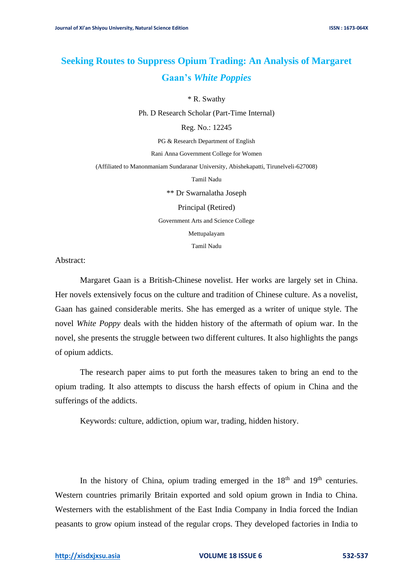## **Seeking Routes to Suppress Opium Trading: An Analysis of Margaret Gaan's** *White Poppies*

\* R. Swathy

Ph. D Research Scholar (Part-Time Internal)

Reg. No.: 12245

PG & Research Department of English

Rani Anna Government College for Women

(Affiliated to Manonmaniam Sundaranar University, Abishekapatti, Tirunelveli-627008)

Tamil Nadu

\*\* Dr Swarnalatha Joseph

Principal (Retired)

Government Arts and Science College

Mettupalayam

Tamil Nadu

Abstract:

Margaret Gaan is a British-Chinese novelist. Her works are largely set in China. Her novels extensively focus on the culture and tradition of Chinese culture. As a novelist, Gaan has gained considerable merits. She has emerged as a writer of unique style. The novel *White Poppy* deals with the hidden history of the aftermath of opium war. In the novel, she presents the struggle between two different cultures. It also highlights the pangs of opium addicts.

The research paper aims to put forth the measures taken to bring an end to the opium trading. It also attempts to discuss the harsh effects of opium in China and the sufferings of the addicts.

Keywords: culture, addiction, opium war, trading, hidden history.

In the history of China, opium trading emerged in the  $18<sup>th</sup>$  and  $19<sup>th</sup>$  centuries. Western countries primarily Britain exported and sold opium grown in India to China. Westerners with the establishment of the East India Company in India forced the Indian peasants to grow opium instead of the regular crops. They developed factories in India to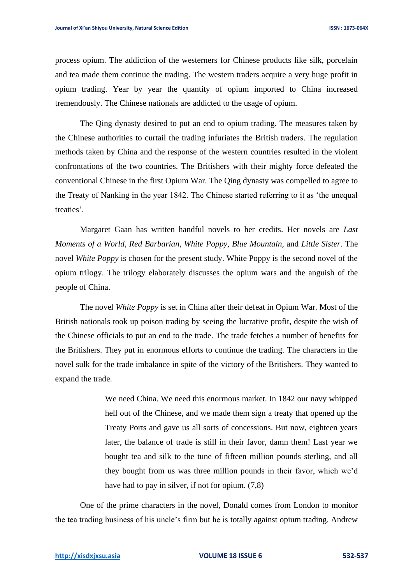process opium. The addiction of the westerners for Chinese products like silk, porcelain and tea made them continue the trading. The western traders acquire a very huge profit in opium trading. Year by year the quantity of opium imported to China increased tremendously. The Chinese nationals are addicted to the usage of opium.

The Qing dynasty desired to put an end to opium trading. The measures taken by the Chinese authorities to curtail the trading infuriates the British traders. The regulation methods taken by China and the response of the western countries resulted in the violent confrontations of the two countries. The Britishers with their mighty force defeated the conventional Chinese in the first Opium War. The Qing dynasty was compelled to agree to the Treaty of Nanking in the year 1842. The Chinese started referring to it as 'the unequal treaties'.

Margaret Gaan has written handful novels to her credits. Her novels are *Last Moments of a World*, *Red Barbarian*, *White Poppy*, *Blue Mountain*, and *Little Sister*. The novel *White Poppy* is chosen for the present study. White Poppy is the second novel of the opium trilogy. The trilogy elaborately discusses the opium wars and the anguish of the people of China.

The novel *White Poppy* is set in China after their defeat in Opium War. Most of the British nationals took up poison trading by seeing the lucrative profit, despite the wish of the Chinese officials to put an end to the trade. The trade fetches a number of benefits for the Britishers. They put in enormous efforts to continue the trading. The characters in the novel sulk for the trade imbalance in spite of the victory of the Britishers. They wanted to expand the trade.

> We need China. We need this enormous market. In 1842 our navy whipped hell out of the Chinese, and we made them sign a treaty that opened up the Treaty Ports and gave us all sorts of concessions. But now, eighteen years later, the balance of trade is still in their favor, damn them! Last year we bought tea and silk to the tune of fifteen million pounds sterling, and all they bought from us was three million pounds in their favor, which we'd have had to pay in silver, if not for opium. (7,8)

One of the prime characters in the novel, Donald comes from London to monitor the tea trading business of his uncle's firm but he is totally against opium trading. Andrew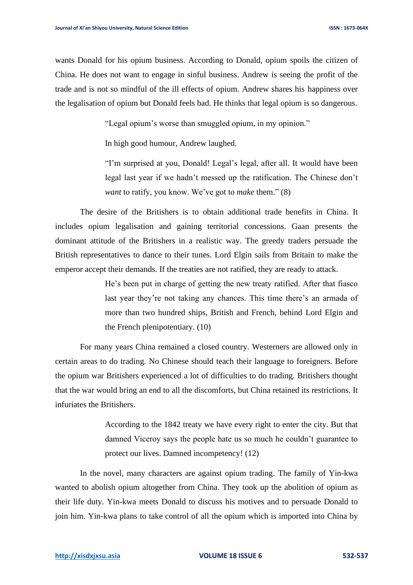wants Donald for his opium business. According to Donald, opium spoils the citizen of China. He does not want to engage in sinful business. Andrew is seeing the profit of the trade and is not so mindful of the ill effects of opium. Andrew shares his happiness over the legalisation of opium but Donald feels bad. He thinks that legal opium is so dangerous.

"Legal opium's worse than smuggled opium, in my opinion."

In high good humour, Andrew laughed.

"I'm surprised at you, Donald! Legal's legal, after all. It would have been legal last year if we hadn't messed up the ratification. The Chinese don't *want* to ratify, you know. We've got to *make* them." (8)

The desire of the Britishers is to obtain additional trade benefits in China. It includes opium legalisation and gaining territorial concessions. Gaan presents the dominant attitude of the Britishers in a realistic way. The greedy traders persuade the British representatives to dance to their tunes. Lord Elgin sails from Britain to make the emperor accept their demands. If the treaties are not ratified, they are ready to attack.

> He's been put in charge of getting the new treaty ratified. After that fiasco last year they're not taking any chances. This time there's an armada of more than two hundred ships, British and French, behind Lord Elgin and the French plenipotentiary. (10)

For many years China remained a closed country. Westerners are allowed only in certain areas to do trading. No Chinese should teach their language to foreigners. Before the opium war Britishers experienced a lot of difficulties to do trading. Britishers thought that the war would bring an end to all the discomforts, but China retained its restrictions. It infuriates the Britishers.

> According to the 1842 treaty we have every right to enter the city. But that damned Viceroy says the people hate us so much he couldn't guarantee to protect our lives. Damned incompetency! (12)

In the novel, many characters are against opium trading. The family of Yin-kwa wanted to abolish opium altogether from China. They took up the abolition of opium as their life duty. Yin-kwa meets Donald to discuss his motives and to persuade Donald to join him. Yin-kwa plans to take control of all the opium which is imported into China by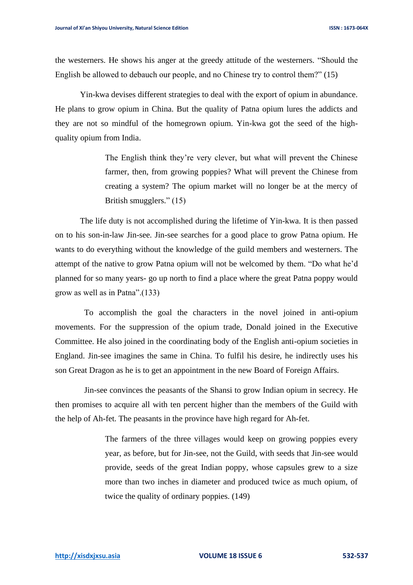the westerners. He shows his anger at the greedy attitude of the westerners. "Should the English be allowed to debauch our people, and no Chinese try to control them?" (15)

Yin-kwa devises different strategies to deal with the export of opium in abundance. He plans to grow opium in China. But the quality of Patna opium lures the addicts and they are not so mindful of the homegrown opium. Yin-kwa got the seed of the highquality opium from India.

> The English think they're very clever, but what will prevent the Chinese farmer, then, from growing poppies? What will prevent the Chinese from creating a system? The opium market will no longer be at the mercy of British smugglers." (15)

The life duty is not accomplished during the lifetime of Yin-kwa. It is then passed on to his son-in-law Jin-see. Jin-see searches for a good place to grow Patna opium. He wants to do everything without the knowledge of the guild members and westerners. The attempt of the native to grow Patna opium will not be welcomed by them. "Do what he'd planned for so many years- go up north to find a place where the great Patna poppy would grow as well as in Patna".(133)

 To accomplish the goal the characters in the novel joined in anti-opium movements. For the suppression of the opium trade, Donald joined in the Executive Committee. He also joined in the coordinating body of the English anti-opium societies in England. Jin-see imagines the same in China. To fulfil his desire, he indirectly uses his son Great Dragon as he is to get an appointment in the new Board of Foreign Affairs.

 Jin-see convinces the peasants of the Shansi to grow Indian opium in secrecy. He then promises to acquire all with ten percent higher than the members of the Guild with the help of Ah-fet. The peasants in the province have high regard for Ah-fet.

> The farmers of the three villages would keep on growing poppies every year, as before, but for Jin-see, not the Guild, with seeds that Jin-see would provide, seeds of the great Indian poppy, whose capsules grew to a size more than two inches in diameter and produced twice as much opium, of twice the quality of ordinary poppies. (149)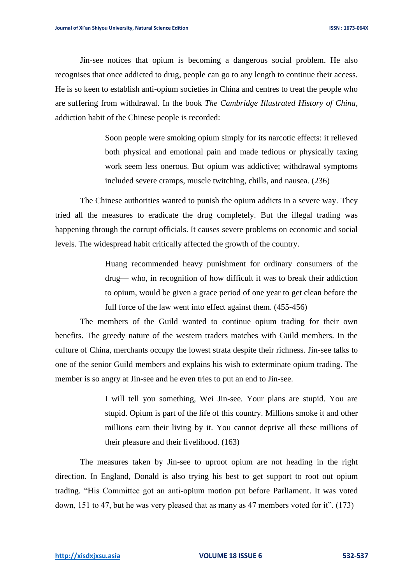Jin-see notices that opium is becoming a dangerous social problem. He also recognises that once addicted to drug, people can go to any length to continue their access. He is so keen to establish anti-opium societies in China and centres to treat the people who are suffering from withdrawal. In the book *The Cambridge Illustrated History of China*, addiction habit of the Chinese people is recorded:

> Soon people were smoking opium simply for its narcotic effects: it relieved both physical and emotional pain and made tedious or physically taxing work seem less onerous. But opium was addictive; withdrawal symptoms included severe cramps, muscle twitching, chills, and nausea. (236)

The Chinese authorities wanted to punish the opium addicts in a severe way. They tried all the measures to eradicate the drug completely. But the illegal trading was happening through the corrupt officials. It causes severe problems on economic and social levels. The widespread habit critically affected the growth of the country.

> Huang recommended heavy punishment for ordinary consumers of the drug— who, in recognition of how difficult it was to break their addiction to opium, would be given a grace period of one year to get clean before the full force of the law went into effect against them. (455-456)

The members of the Guild wanted to continue opium trading for their own benefits. The greedy nature of the western traders matches with Guild members. In the culture of China, merchants occupy the lowest strata despite their richness. Jin-see talks to one of the senior Guild members and explains his wish to exterminate opium trading. The member is so angry at Jin-see and he even tries to put an end to Jin-see.

> I will tell you something, Wei Jin-see. Your plans are stupid. You are stupid. Opium is part of the life of this country. Millions smoke it and other millions earn their living by it. You cannot deprive all these millions of their pleasure and their livelihood. (163)

The measures taken by Jin-see to uproot opium are not heading in the right direction. In England, Donald is also trying his best to get support to root out opium trading. "His Committee got an anti-opium motion put before Parliament. It was voted down, 151 to 47, but he was very pleased that as many as 47 members voted for it". (173)